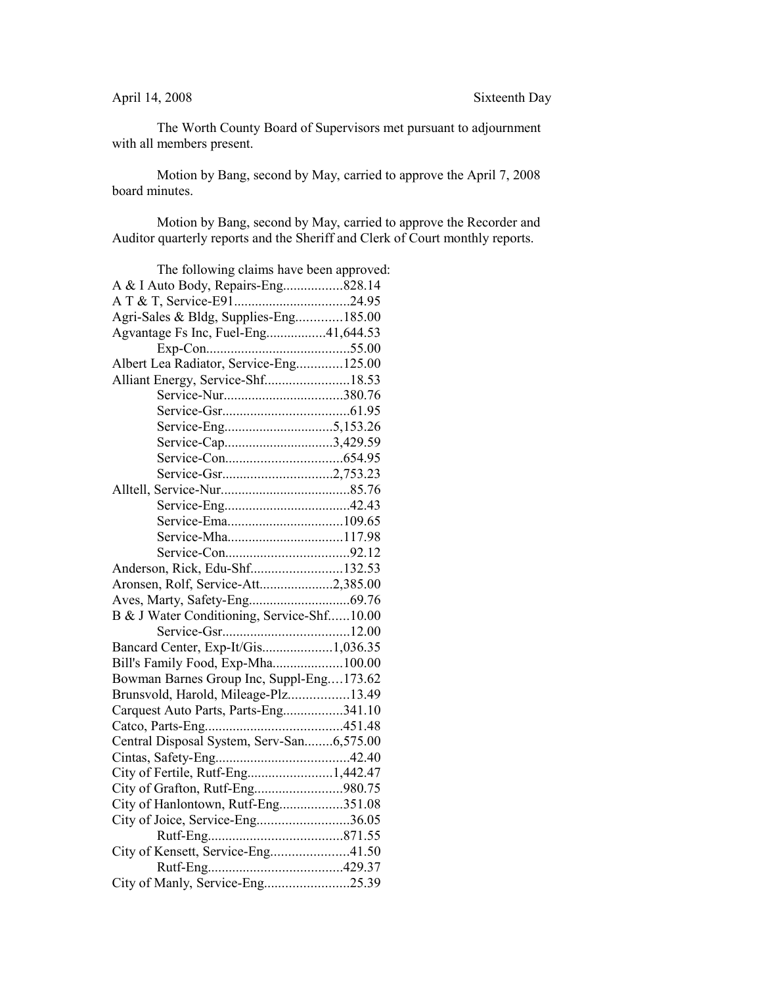The Worth County Board of Supervisors met pursuant to adjournment with all members present.

Motion by Bang, second by May, carried to approve the April 7, 2008 board minutes.

Motion by Bang, second by May, carried to approve the Recorder and Auditor quarterly reports and the Sheriff and Clerk of Court monthly reports.

| The following claims have been approved:   |  |
|--------------------------------------------|--|
| A & I Auto Body, Repairs-Eng828.14         |  |
|                                            |  |
| Agri-Sales & Bldg, Supplies-Eng185.00      |  |
| Agvantage Fs Inc, Fuel-Eng41,644.53        |  |
|                                            |  |
| Albert Lea Radiator, Service-Eng125.00     |  |
| Alliant Energy, Service-Shf18.53           |  |
|                                            |  |
|                                            |  |
|                                            |  |
| Service-Cap3,429.59                        |  |
|                                            |  |
|                                            |  |
|                                            |  |
|                                            |  |
|                                            |  |
|                                            |  |
|                                            |  |
| Anderson, Rick, Edu-Shf132.53              |  |
| Aronsen, Rolf, Service-Att2,385.00         |  |
|                                            |  |
| B & J Water Conditioning, Service-Shf10.00 |  |
|                                            |  |
| Bancard Center, Exp-It/Gis1,036.35         |  |
| Bill's Family Food, Exp-Mha100.00          |  |
| Bowman Barnes Group Inc, Suppl-Eng173.62   |  |
| Brunsvold, Harold, Mileage-Plz13.49        |  |
| Carquest Auto Parts, Parts-Eng341.10       |  |
|                                            |  |
| Central Disposal System, Serv-San6,575.00  |  |
|                                            |  |
| City of Fertile, Rutf-Eng1,442.47          |  |
| City of Grafton, Rutf-Eng980.75            |  |
| City of Hanlontown, Rutf-Eng351.08         |  |
| City of Joice, Service-Eng36.05            |  |
|                                            |  |
| City of Kensett, Service-Eng41.50          |  |
|                                            |  |
| City of Manly, Service-Eng25.39            |  |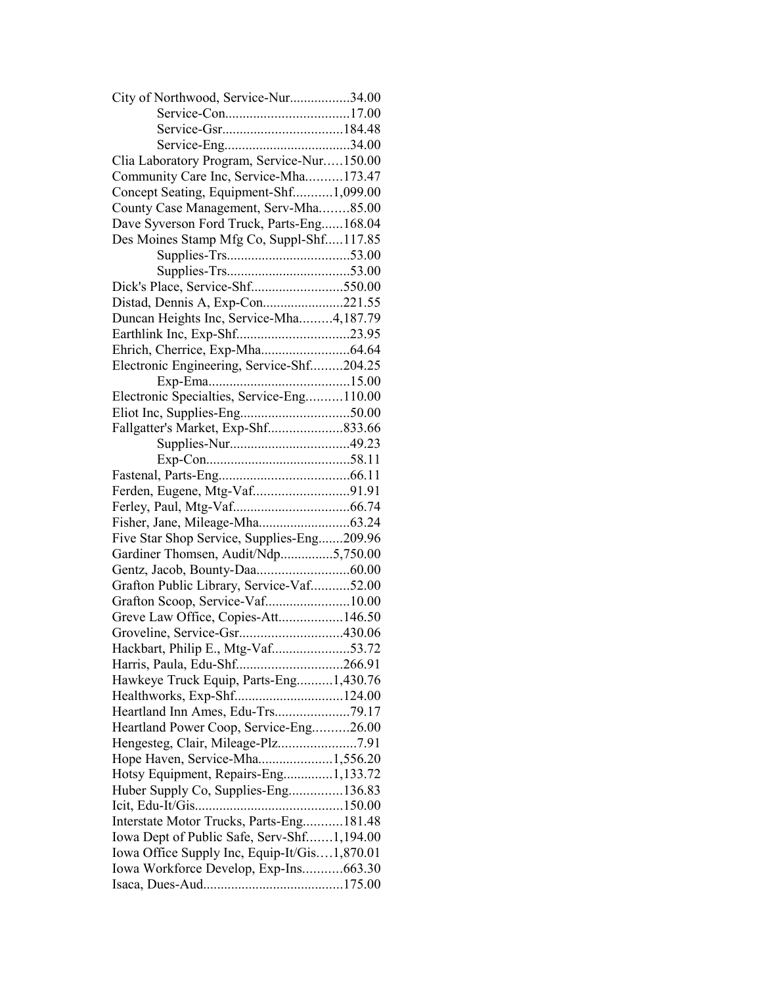| City of Northwood, Service-Nur34.00          |  |
|----------------------------------------------|--|
|                                              |  |
|                                              |  |
|                                              |  |
| Clia Laboratory Program, Service-Nur150.00   |  |
| Community Care Inc, Service-Mha173.47        |  |
| Concept Seating, Equipment-Shf1,099.00       |  |
| County Case Management, Serv-Mha85.00        |  |
| Dave Syverson Ford Truck, Parts-Eng168.04    |  |
| Des Moines Stamp Mfg Co, Suppl-Shf117.85     |  |
|                                              |  |
|                                              |  |
| Dick's Place, Service-Shf550.00              |  |
| Distad, Dennis A, Exp-Con221.55              |  |
| Duncan Heights Inc, Service-Mha4,187.79      |  |
|                                              |  |
|                                              |  |
| Electronic Engineering, Service-Shf204.25    |  |
|                                              |  |
| Electronic Specialties, Service-Eng110.00    |  |
|                                              |  |
| Fallgatter's Market, Exp-Shf833.66           |  |
|                                              |  |
|                                              |  |
|                                              |  |
|                                              |  |
| Ferden, Eugene, Mtg-Vaf91.91                 |  |
|                                              |  |
|                                              |  |
| Five Star Shop Service, Supplies-Eng209.96   |  |
| Gardiner Thomsen, Audit/Ndp5,750.00          |  |
|                                              |  |
| Grafton Public Library, Service-Vaf52.00     |  |
| Grafton Scoop, Service-Vaf10.00              |  |
| Greve Law Office, Copies-Att146.50           |  |
| Groveline, Service-Gsr430.06                 |  |
| Hackbart, Philip E., Mtg-Vaf53.72            |  |
| Harris, Paula, Edu-Shf266.91                 |  |
| Hawkeye Truck Equip, Parts-Eng1,430.76       |  |
| Healthworks, Exp-Shf124.00                   |  |
|                                              |  |
| Heartland Power Coop, Service-Eng26.00       |  |
|                                              |  |
| Hope Haven, Service-Mha1,556.20              |  |
| Hotsy Equipment, Repairs-Eng1,133.72         |  |
| Huber Supply Co, Supplies-Eng136.83          |  |
|                                              |  |
| Interstate Motor Trucks, Parts-Eng181.48     |  |
| Iowa Dept of Public Safe, Serv-Shf1,194.00   |  |
| Iowa Office Supply Inc, Equip-It/Gis1,870.01 |  |
| Iowa Workforce Develop, Exp-Ins663.30        |  |
|                                              |  |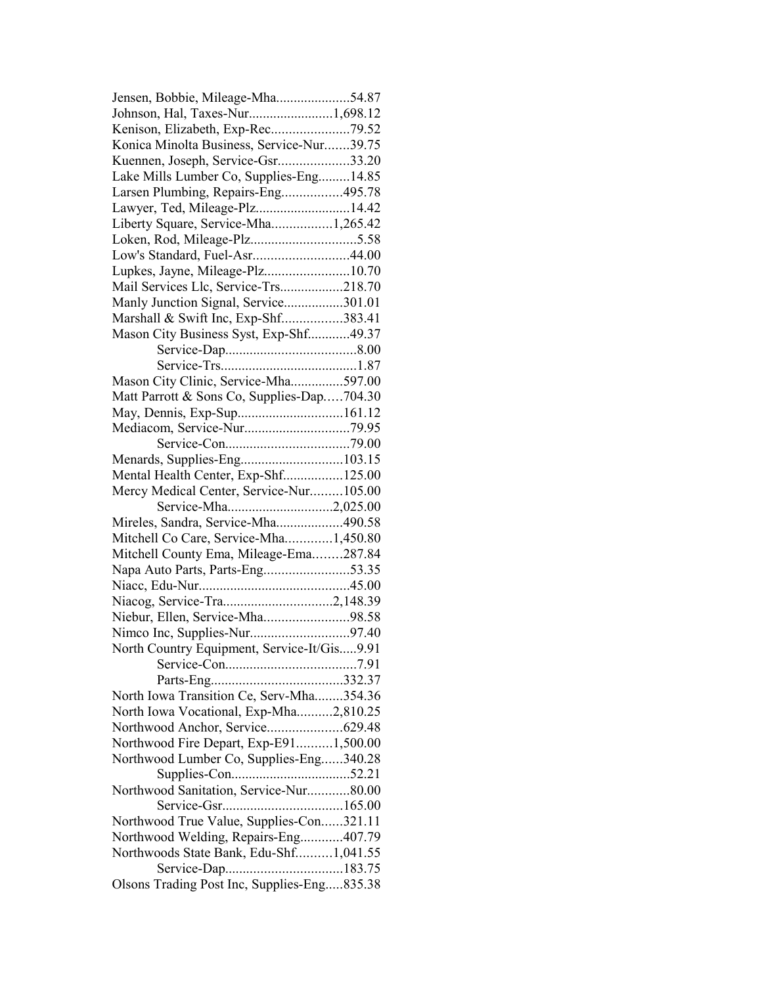| Jensen, Bobbie, Mileage-Mha54.87            |  |
|---------------------------------------------|--|
| Johnson, Hal, Taxes-Nur1,698.12             |  |
| Kenison, Elizabeth, Exp-Rec79.52            |  |
| Konica Minolta Business, Service-Nur39.75   |  |
| Kuennen, Joseph, Service-Gsr33.20           |  |
| Lake Mills Lumber Co, Supplies-Eng14.85     |  |
| Larsen Plumbing, Repairs-Eng495.78          |  |
| Lawyer, Ted, Mileage-Plz14.42               |  |
| Liberty Square, Service-Mha1,265.42         |  |
| Loken, Rod, Mileage-Plz5.58                 |  |
| Low's Standard, Fuel-Asr44.00               |  |
| Lupkes, Jayne, Mileage-Plz10.70             |  |
| Mail Services Llc, Service-Trs218.70        |  |
|                                             |  |
| Manly Junction Signal, Service301.01        |  |
| Marshall & Swift Inc, Exp-Shf383.41         |  |
| Mason City Business Syst, Exp-Shf49.37      |  |
|                                             |  |
|                                             |  |
| Mason City Clinic, Service-Mha597.00        |  |
| Matt Parrott & Sons Co, Supplies-Dap704.30  |  |
| May, Dennis, Exp-Sup161.12                  |  |
|                                             |  |
|                                             |  |
| Menards, Supplies-Eng103.15                 |  |
| Mental Health Center, Exp-Shf125.00         |  |
| Mercy Medical Center, Service-Nur105.00     |  |
| Service-Mha2,025.00                         |  |
| Mireles, Sandra, Service-Mha490.58          |  |
| Mitchell Co Care, Service-Mha1,450.80       |  |
| Mitchell County Ema, Mileage-Ema287.84      |  |
| Napa Auto Parts, Parts-Eng53.35             |  |
|                                             |  |
|                                             |  |
|                                             |  |
| Niebur, Ellen, Service-Mha98.58             |  |
| Nimco Inc, Supplies-Nur97.40                |  |
| North Country Equipment, Service-It/Gis9.91 |  |
|                                             |  |
|                                             |  |
| North Iowa Transition Ce, Serv-Mha354.36    |  |
| North Iowa Vocational, Exp-Mha2,810.25      |  |
|                                             |  |
| Northwood Fire Depart, Exp-E911,500.00      |  |
| Northwood Lumber Co, Supplies-Eng340.28     |  |
|                                             |  |
| Northwood Sanitation, Service-Nur80.00      |  |
|                                             |  |
| Northwood True Value, Supplies-Con321.11    |  |
| Northwood Welding, Repairs-Eng407.79        |  |
| Northwoods State Bank, Edu-Shf1,041.55      |  |
|                                             |  |
| Olsons Trading Post Inc, Supplies-Eng835.38 |  |
|                                             |  |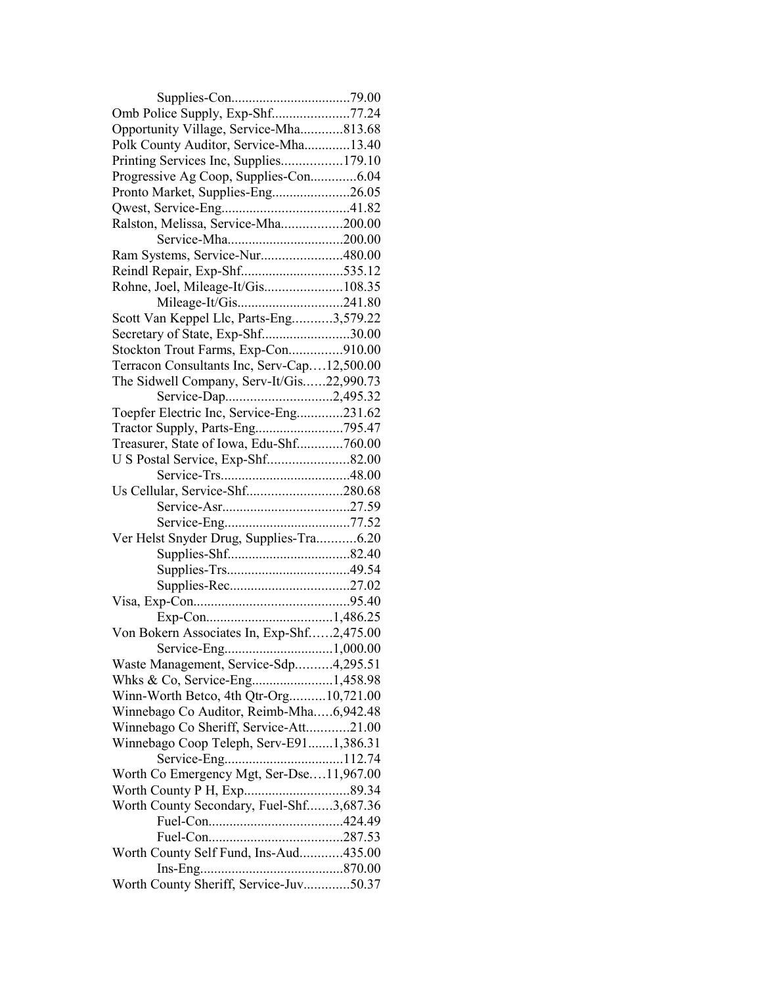| Omb Police Supply, Exp-Shf77.24             |  |
|---------------------------------------------|--|
| Opportunity Village, Service-Mha813.68      |  |
| Polk County Auditor, Service-Mha13.40       |  |
| Printing Services Inc, Supplies179.10       |  |
| Progressive Ag Coop, Supplies-Con6.04       |  |
| Pronto Market, Supplies-Eng26.05            |  |
|                                             |  |
| Ralston, Melissa, Service-Mha200.00         |  |
| Service-Mha200.00                           |  |
| Ram Systems, Service-Nur480.00              |  |
| Reindl Repair, Exp-Shf535.12                |  |
| Rohne, Joel, Mileage-It/Gis108.35           |  |
|                                             |  |
| Scott Van Keppel Llc, Parts-Eng3,579.22     |  |
| Secretary of State, Exp-Shf30.00            |  |
| Stockton Trout Farms, Exp-Con910.00         |  |
| Terracon Consultants Inc, Serv-Cap12,500.00 |  |
| The Sidwell Company, Serv-It/Gis22,990.73   |  |
| Service-Dap2,495.32                         |  |
| Toepfer Electric Inc, Service-Eng231.62     |  |
|                                             |  |
| Treasurer, State of Iowa, Edu-Shf760.00     |  |
|                                             |  |
|                                             |  |
| Us Cellular, Service-Shf280.68              |  |
|                                             |  |
|                                             |  |
| Ver Helst Snyder Drug, Supplies-Tra6.20     |  |
|                                             |  |
|                                             |  |
|                                             |  |
|                                             |  |
|                                             |  |
| Von Bokern Associates In, Exp-Shf2,475.00   |  |
|                                             |  |
| Waste Management, Service-Sdp4,295.51       |  |
|                                             |  |
| Winn-Worth Betco, 4th Qtr-Org10,721.00      |  |
| Winnebago Co Auditor, Reimb-Mha6,942.48     |  |
| Winnebago Co Sheriff, Service-Att21.00      |  |
| Winnebago Coop Teleph, Serv-E911,386.31     |  |
|                                             |  |
| Worth Co Emergency Mgt, Ser-Dse11,967.00    |  |
|                                             |  |
| Worth County Secondary, Fuel-Shf3,687.36    |  |
|                                             |  |
|                                             |  |
| Worth County Self Fund, Ins-Aud435.00       |  |
|                                             |  |
| Worth County Sheriff, Service-Juv50.37      |  |
|                                             |  |